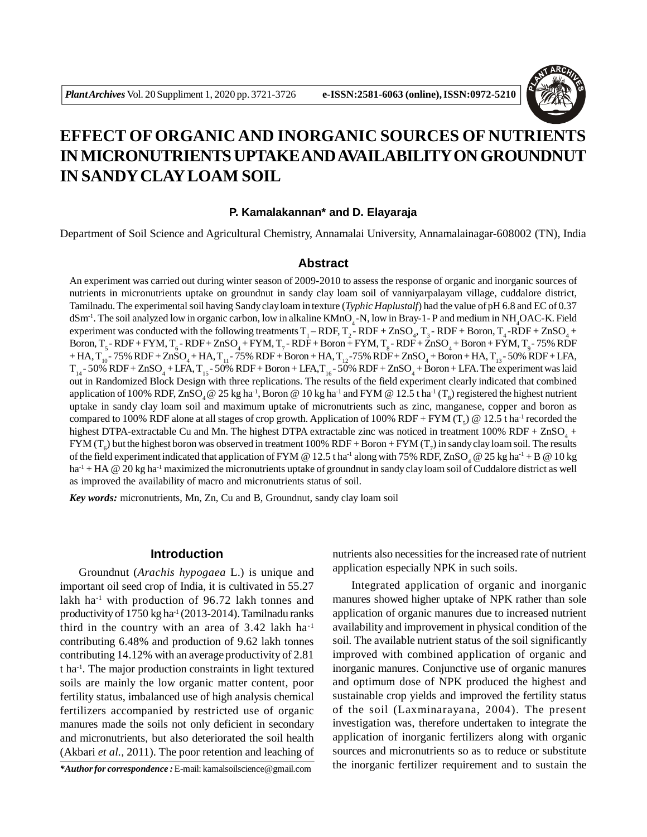

# **EFFECT OF ORGANIC AND INORGANIC SOURCES OF NUTRIENTS IN MICRONUTRIENTS UPTAKE AND AVAILABILITY ON GROUNDNUT IN SANDY CLAY LOAM SOIL**

#### **P. Kamalakannan\* and D. Elayaraja**

Department of Soil Science and Agricultural Chemistry, Annamalai University, Annamalainagar-608002 (TN), India

#### **Abstract**

An experiment was carried out during winter season of 2009-2010 to assess the response of organic and inorganic sources of nutrients in micronutrients uptake on groundnut in sandy clay loam soil of vanniyarpalayam village, cuddalore district, Tamilnadu. The experimental soil having Sandy clay loam in texture (*Typhic Haplustalf*) had the value of pH 6.8 and EC of 0.37  $dSm^{-1}$ . The soil analyzed low in organic carbon, low in alkaline  $KMnO_4$ -N, low in Bray-1-P and medium in NH<sub>4</sub>OAC-K. Field experiment was conducted with the following treatments  $T_1$ –RDF,  $T_2$ -RDF + ZnSO<sub>4</sub>,  $T_3$ -RDF + Boron,  $T_4$ -RDF + ZnSO<sub>4</sub> + Boron,  $T_5$ - RDF + FYM,  $T_6$ - RDF + ZnSO<sub>4</sub> + FYM,  $T_7$ - RDF + Boron + FYM,  $T_8$ - RDF + ZnSO<sub>4</sub> + Boron + FYM,  $T_9$ - 75% RDF  $+$  HA,  $T_{10}$ - 75% RDF + ZnSO<sub>4</sub> + HA,  $T_{11}$ - 75% RDF + Boron + HA,  $T_{12}$ -75% RDF + ZnSO<sub>4</sub> + Boron + HA,  $T_{13}$ - 50% RDF + LFA,  $T_{14}$ - 50% RDF + ZnSO<sub>4</sub> + LFA,  $T_{15}$ - 50% RDF + Boron + LFA,  $T_{16}$ - 50% RDF + ZnSO<sub>4</sub> + Boron + LFA. The experiment was laid out in Randomized Block Design with three replications. The results of the field experiment clearly indicated that combined application of 100% RDF,  $\rm ZnSO_{4}$  @ 25 kg ha<sup>-1</sup>, Boron @ 10 kg ha<sup>-1</sup> and FYM @ 12.5 t ha<sup>-1</sup> (T<sub>8</sub>) registered the highest nutrient uptake in sandy clay loam soil and maximum uptake of micronutrients such as zinc, manganese, copper and boron as compared to 100% RDF alone at all stages of crop growth. Application of 100% RDF + FYM (T<sub>5</sub>) @ 12.5 t ha<sup>-1</sup> recorded the highest DTPA-extractable Cu and Mn. The highest DTPA extractable zinc was noticed in treatment 100%  $RDF + ZnSO<sub>4</sub> +$  $\rm{FYM}$  (T<sub>6</sub>) but the highest boron was observed in treatment 100% RDF + Boron + FYM (T<sub>7</sub>) in sandy clay loam soil. The results of the field experiment indicated that application of FYM @ 12.5 t ha<sup>-1</sup> along with 75% RDF, ZnSO<sub>4</sub> @ 25 kg ha<sup>-1</sup> + B @ 10 kg ha<sup>-1</sup> + HA @ 20 kg ha<sup>-1</sup> maximized the micronutrients uptake of groundnut in sandy clay loam soil of Cuddalore district as well as improved the availability of macro and micronutrients status of soil.

*Key words:* micronutrients, Mn, Zn, Cu and B, Groundnut, sandy clay loam soil

### **Introduction**

Groundnut (*Arachis hypogaea* L.) is unique and important oil seed crop of India, it is cultivated in 55.27 lakh ha<sup>-1</sup> with production of 96.72 lakh tonnes and productivity of 1750 kg ha<sup>-1</sup> (2013-2014). Tamilnadu ranks third in the country with an area of  $3.42$  lakh ha<sup>-1</sup> contributing 6.48% and production of 9.62 lakh tonnes contributing 14.12% with an average productivity of 2.81 t ha-1. The major production constraints in light textured soils are mainly the low organic matter content, poor fertility status, imbalanced use of high analysis chemical fertilizers accompanied by restricted use of organic manures made the soils not only deficient in secondary and micronutrients, but also deteriorated the soil health (Akbari *et al.,* 2011). The poor retention and leaching of

*\*Author for correspondence :* E-mail: kamalsoilscience@gmail.com

nutrients also necessities for the increased rate of nutrient application especially NPK in such soils.

Integrated application of organic and inorganic manures showed higher uptake of NPK rather than sole application of organic manures due to increased nutrient availability and improvement in physical condition of the soil. The available nutrient status of the soil significantly improved with combined application of organic and inorganic manures. Conjunctive use of organic manures and optimum dose of NPK produced the highest and sustainable crop yields and improved the fertility status of the soil (Laxminarayana, 2004). The present investigation was, therefore undertaken to integrate the application of inorganic fertilizers along with organic sources and micronutrients so as to reduce or substitute the inorganic fertilizer requirement and to sustain the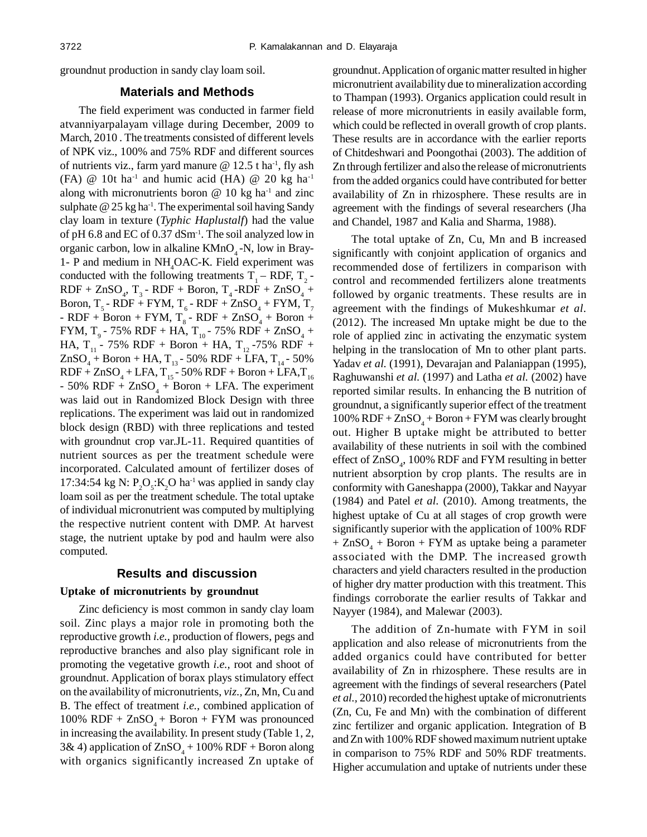groundnut production in sandy clay loam soil.

#### **Materials and Methods**

The field experiment was conducted in farmer field atvanniyarpalayam village during December, 2009 to March, 2010 . The treatments consisted of different levels of NPK viz., 100% and 75% RDF and different sources of nutrients viz., farm yard manure  $\omega$  12.5 t ha<sup>-1</sup>, fly ash (FA)  $@$  10t ha<sup>-1</sup> and humic acid (HA)  $@$  20 kg ha<sup>-1</sup> along with micronutrients boron  $\omega$  10 kg ha<sup>-1</sup> and zinc sulphate  $@$  25 kg ha<sup>-1</sup>. The experimental soil having Sandy clay loam in texture (*Typhic Haplustalf*) had the value of pH 6.8 and EC of 0.37 dSm-1. The soil analyzed low in organic carbon, low in alkaline  $KMnO<sub>4</sub>$ -N, low in Bray-1- P and medium in NH<sub>4</sub>OAC-K. Field experiment was conducted with the following treatments  $T_1 - RDF$ ,  $T_2 - RDF$  $RDF + ZnSO_4$ ,  $T_3$  -  $RDF + Boron$ ,  $T_4$  - $RDF + ZnSO_4 +$ Boron, T<sub>5</sub> - RDF + FYM, T<sub>6</sub> - RDF + ZnSO<sub>4</sub> + FYM, T<sub>7</sub> - RDF + Boron + FYM,  $T_8$  - RDF + ZnSO<sub>4</sub> + Boron + FYM, T<sub>9</sub> - 75% RDF + HA, T<sub>10</sub> - 75% RDF + ZnSO<sub>4</sub> + HA,  $T_{11}$  - 75% RDF + Boron + HA,  $T_{12}$  -75% RDF +  $ZnSO_4 + Boron + HA, T_{13} - 50\% RDF + LFA, T_{14} - 50\%$  $RDF + ZnSO<sub>4</sub> + LFA, T<sub>15</sub> - 50% RDF + Boron + LFA, T<sub>16</sub>$  $-50\%$  RDF + ZnSO<sub>4</sub> + Boron + LFA. The experiment was laid out in Randomized Block Design with three replications. The experiment was laid out in randomized block design (RBD) with three replications and tested with groundnut crop var.JL-11. Required quantities of nutrient sources as per the treatment schedule were incorporated. Calculated amount of fertilizer doses of 17:34:54 kg N:  $P_2O_5$ :K<sub>2</sub>O ha<sup>-1</sup> was applied in sandy clay loam soil as per the treatment schedule. The total uptake of individual micronutrient was computed by multiplying the respective nutrient content with DMP. At harvest stage, the nutrient uptake by pod and haulm were also computed.

#### **Results and discussion**

#### **Uptake of micronutrients by groundnut**

Zinc deficiency is most common in sandy clay loam soil. Zinc plays a major role in promoting both the reproductive growth *i.e.,* production of flowers, pegs and reproductive branches and also play significant role in promoting the vegetative growth *i.e.,* root and shoot of groundnut. Application of borax plays stimulatory effect on the availability of micronutrients, *viz.,* Zn, Mn, Cu and B. The effect of treatment *i.e.,* combined application of 100% RDF +  $ZnSO<sub>A</sub>$  + Boron + FYM was pronounced in increasing the availability. In present study (Table 1, 2, 3& 4) application of  $ZnSO_4 + 100\%$  RDF + Boron along with organics significantly increased Zn uptake of groundnut. Application of organic matter resulted in higher micronutrient availability due to mineralization according to Thampan (1993). Organics application could result in release of more micronutrients in easily available form, which could be reflected in overall growth of crop plants. These results are in accordance with the earlier reports of Chitdeshwari and Poongothai (2003). The addition of Zn through fertilizer and also the release of micronutrients from the added organics could have contributed for better availability of Zn in rhizosphere. These results are in agreement with the findings of several researchers (Jha and Chandel, 1987 and Kalia and Sharma, 1988).

The total uptake of Zn, Cu, Mn and B increased significantly with conjoint application of organics and recommended dose of fertilizers in comparison with control and recommended fertilizers alone treatments followed by organic treatments. These results are in agreement with the findings of Mukeshkumar *et al.* (2012). The increased Mn uptake might be due to the role of applied zinc in activating the enzymatic system helping in the translocation of Mn to other plant parts. Yadav *et al.* (1991), Devarajan and Palaniappan (1995), Raghuwanshi *et al.* (1997) and Latha *et al.* (2002) have reported similar results. In enhancing the B nutrition of groundnut, a significantly superior effect of the treatment  $100\%$  RDF +  $ZnSO_4$  + Boron + FYM was clearly brought out. Higher B uptake might be attributed to better availability of these nutrients in soil with the combined effect of  $\text{ZnSO}_4$ , 100% RDF and FYM resulting in better nutrient absorption by crop plants. The results are in conformity with Ganeshappa (2000), Takkar and Nayyar (1984) and Patel *et al.* (2010). Among treatments, the highest uptake of Cu at all stages of crop growth were significantly superior with the application of 100% RDF  $+$  ZnSO<sub>4</sub> + Boron + FYM as uptake being a parameter associated with the DMP. The increased growth characters and yield characters resulted in the production of higher dry matter production with this treatment. This findings corroborate the earlier results of Takkar and Nayyer (1984), and Malewar (2003).

The addition of Zn-humate with FYM in soil application and also release of micronutrients from the added organics could have contributed for better availability of Zn in rhizosphere. These results are in agreement with the findings of several researchers (Patel *et al.,* 2010) recorded the highest uptake of micronutrients (Zn, Cu, Fe and Mn) with the combination of different zinc fertilizer and organic application. Integration of B and Zn with 100% RDF showed maximum nutrient uptake in comparison to 75% RDF and 50% RDF treatments. Higher accumulation and uptake of nutrients under these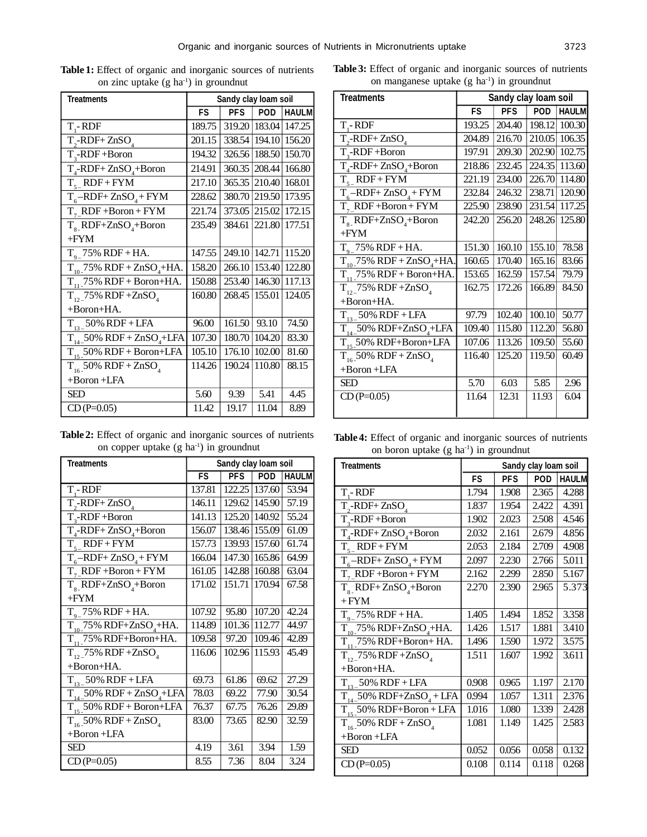| <b>Treatments</b>                           | Sandy clay loam soil |            |                 |              |
|---------------------------------------------|----------------------|------------|-----------------|--------------|
|                                             | <b>FS</b>            | <b>PFS</b> | <b>POD</b>      | <b>HAULM</b> |
| $T - RDF$                                   | 189.75               |            | 319.20   183.04 | 147.25       |
| $\overline{T, -R}$ DF+ZnSO <sub>4</sub>     | 201.15               |            | 338.54   194.10 | 156.20       |
| $T_{3}$ -RDF+Boron                          | 194.32               | 326.56     | 188.50          | 150.70       |
| $T_{4}$ -RDF+ZnSO <sub>4</sub> +Boron       | 214.91               | 360.35     | 208.44          | 166.80       |
| $T_{5}$ RDF + FYM                           | 217.10               |            | 365.35 210.40   | 168.01       |
| $T_{6}$ -RDF+ ZnSO <sub>4</sub> + FYM       | 228.62               | 380.70     | 219.50          | 173.95       |
| $T7 RDF + Boron + FYM$                      | 221.74               | 373.05     | 215.02          | 172.15       |
| $T_s$ <sub>RDF+ZnSO<sub>4</sub>+Boron</sub> | 235.49               | 384.61     | 221.80          | 177.51       |
| $+$ FYM                                     |                      |            |                 |              |
| $T_{\text{o}}$ 75% RDF + HA.                | 147.55               |            | 249.10 142.71   | 115.20       |
| $T_{10}$ -75% RDF + ZnSO <sub>4</sub> +HA.  | 158.20               | 266.10     | 153.40          | 122.80       |
| $T_{11}$ 75% RDF + Boron+HA.                | 150.88               |            | 253.40   146.30 | 117.13       |
| $T_{12}$ 75% RDF + ZnSO <sub>4</sub>        | 160.80               | 268.45     | 155.01          | 124.05       |
| $+Boron+HA.$                                |                      |            |                 |              |
| $T_{13}$ = 50% RDF + LFA                    | 96.00                | 161.50     | 93.10           | 74.50        |
| $T_{14}$ 50% RDF + ZnSO <sub>4</sub> +LFA   | 107.30               | 180.70     | 104.20          | 83.30        |
| $T_{15}$ 50% RDF + Boron+LFA                | 105.10               | 176.10     | 102.00          | 81.60        |
| $T_{16}$ 50% RDF + ZnSO                     | 114.26               | 190.24     | 110.80          | 88.15        |
| $+B$ oron $+LFA$                            |                      |            |                 |              |
| <b>SED</b>                                  | 5.60                 | 9.39       | 5.41            | 4.45         |
| $CD(P=0.05)$                                | 11.42                | 19.17      | 11.04           | 8.89         |

**Table 1:** Effect of organic and inorganic sources of nutrients on zinc uptake (g ha<sup>-1</sup>) in groundnut

| Table 2: Effect of organic and inorganic sources of nutrients |
|---------------------------------------------------------------|
| on copper uptake $(g \, ha^{-1})$ in ground nut               |

| <b>Treatments</b>                          | Sandy clay loam soil |            |                 |              |
|--------------------------------------------|----------------------|------------|-----------------|--------------|
|                                            | FS                   | <b>PFS</b> | POD             | <b>HAULM</b> |
| $T - RDF$                                  | 137.81               |            | 122.25 137.60   | 53.94        |
| $\overline{T, -RDF+ZnSO_4}$                | 146.11               |            | 129.62   145.90 | 57.19        |
| T,-RDF+Boron                               | 141.13               | 125.20     | 140.92          | 55.24        |
| $T_{4}$ -RDF+ZnSO <sub>4</sub> +Boron      | 156.07               | 138.46     | 155.09          | 61.09        |
| $T_{s}$ RDF+FYM                            | 157.73               | 139.93     | 157.60          | 61.74        |
| $T_{6}$ -RDF+ ZnSO <sub>4</sub> + FYM      | 166.04               | 147.30     | 165.86          | 64.99        |
| $T7 RDF + Boron + FYM$                     | 161.05               | 142.88     | 160.88          | 63.04        |
| $T_{8}$ RDF+ZnSO <sub>4</sub> +Boron       | 171.02               | 151.71     | 170.94          | 67.58        |
| $+FYM$                                     |                      |            |                 |              |
| $T_{q}$ 75% RDF + HA.                      | 107.92               | 95.80      | 107.20          | 42.24        |
| $T_{10}$ . 75% RDF+ZnSO <sub>4</sub> +HA.  | 114.89               | 101.36     | 112.77          | 44.97        |
| $T_{11}$ 75% RDF+Boron+HA.                 | 109.58               | 97.20      | 109.46          | 42.89        |
| $T_{12}$ , 75% RDF + ZnSO <sub>4</sub>     | 116.06               | 102.96     | 115.93          | 45.49        |
| $+ Boron+HA.$                              |                      |            |                 |              |
| $T_{13-}$ 50% RDF + LFA                    | 69.73                | 61.86      | 69.62           | 27.29        |
| $T_{14-}$ 50% RDF + ZnSO <sub>4</sub> +LFA | 78.03                | 69.22      | 77.90           | 30.54        |
| $T_{15}$ 50% RDF + Boron+LFA               | 76.37                | 67.75      | 76.26           | 29.89        |
| $T_{16}$ 50% RDF + ZnSO <sub>4</sub>       | 83.00                | 73.65      | 82.90           | 32.59        |
| $+ Boron + LFA$                            |                      |            |                 |              |
| <b>SED</b>                                 | 4.19                 | 3.61       | 3.94            | 1.59         |
| $CD(P=0.05)$                               | 8.55                 | 7.36       | 8.04            | 3.24         |

**Table 3:** Effect of organic and inorganic sources of nutrients on manganese uptake (g ha-1) in groundnut

| <b>Treatments</b>                         | Sandy clay loam soil |            |            |               |
|-------------------------------------------|----------------------|------------|------------|---------------|
|                                           | <b>FS</b>            | <b>PFS</b> | <b>POD</b> | <b>HAULM</b>  |
| T <sub>.</sub> -RDF                       | 193.25               | 204.40     | 198.12     | 100.30        |
| $T_{2}$ -RDF+ZnSO <sub>4</sub>            | 204.89               | 216.70     |            | 210.05 106.35 |
| $T_{3}$ -RDF+Boron                        | 197.91               | 209.30     | 202.90     | 102.75        |
| $T_{A}$ -RDF+ZnSO <sub>4</sub> +Boron     | 218.86               | 232.45     | 224.35     | 113.60        |
| $T_{s}$ RDF+FYM                           | 221.19               | 234.00     | 226.70     | 114.80        |
| $T_{6}$ -RDF+ZnSO <sub>4</sub> +FYM       | 232.84               | 246.32     | 238.71     | 120.90        |
| $T7 RDF + Boron + FYM$                    | 225.90               | 238.90     | 231.54     | 117.25        |
| $T_s$ RDF+ZnSO <sub>4</sub> +Boron        | 242.20               | 256.20     | 248.26     | 125.80        |
| $+$ FYM                                   |                      |            |            |               |
| $T_{o}$ 75% RDF + HA.                     | 151.30               | 160.10     | 155.10     | 78.58         |
| $T_{10}$ 75% RDF + ZnSO <sub>4</sub> +HA. | 160.65               | 170.40     | 165.16     | 83.66         |
| $T_{11}$ 75% RDF + Boron+HA.              | 153.65               | 162.59     | 157.54     | 79.79         |
| $T_{12}$ 75% RDF +ZnSO <sub>4</sub>       | 162.75               | 172.26     | 166.89     | 84.50         |
| +Boron+HA.                                |                      |            |            |               |
| $T_{13-}$ 50% RDF + LFA                   | 97.79                | 102.40     | 100.10     | 50.77         |
| $T_{14}$ 50% RDF+ZnSO <sub>4</sub> +LFA   | 109.40               | 115.80     | 112.20     | 56.80         |
| $T_{15}$ 50% RDF+Boron+LFA                | 107.06               | 113.26     | 109.50     | 55.60         |
| $T_{16}$ 50% RDF + ZnSO <sub>4</sub>      | 116.40               | 125.20     | 119.50     | 60.49         |
| $+Boron + LFA$                            |                      |            |            |               |
| <b>SED</b>                                | 5.70                 | 6.03       | 5.85       | 2.96          |
| $CD(P=0.05)$                              | 11.64                | 12.31      | 11.93      | 6.04          |
|                                           |                      |            |            |               |

**Table 4:** Effect of organic and inorganic sources of nutrients on boron uptake (g ha<sup>-1</sup>) in groundnut

| <b>Treatments</b>                         | Sandy clay loam soil |            |            |              |
|-------------------------------------------|----------------------|------------|------------|--------------|
|                                           | FS                   | <b>PFS</b> | <b>POD</b> | <b>HAULM</b> |
| $T - RDF$                                 | 1.794                | 1.908      | 2.365      | 4.288        |
| $T_{2}$ -RDF+ZnSO <sub>4</sub>            | 1.837                | 1.954      | 2.422      | 4.391        |
| $T_{3}$ -RDF+Boron                        | 1.902                | 2.023      | 2.508      | 4.546        |
| $T_{4}$ -RDF+ZnSO <sub>4</sub> +Boron     | 2.032                | 2.161      | 2.679      | 4.856        |
| $\overline{T_{5-}}RDF + FYM$              | 2.053                | 2.184      | 2.709      | 4.908        |
| $T_{6}$ -RDF+ ZnSO <sub>4</sub> + FYM     | 2.097                | 2.230      | 2.766      | 5.011        |
| $Tz RDF + Boron + FYM$                    | 2.162                | 2.299      | 2.850      | 5.167        |
| $T_{\rm g}$ RDF+ZnSO <sub>4</sub> +Boron  | 2.270                | 2.390      | 2.965      | 5.373        |
| $+$ $FYM$                                 |                      |            |            |              |
| $T_{q}$ 75% RDF + HA.                     | 1.405                | 1.494      | 1.852      | 3.358        |
| $T_{10}$ 75% RDF+ZnSO <sub>4</sub> +HA.   | 1.426                | 1.517      | 1.881      | 3.410        |
| $T_{11}$ 75% RDF+Boron+HA.                | 1.496                | 1.590      | 1.972      | 3.575        |
| $T_{12}$ 75% RDF+ZnSO                     | 1.511                | 1.607      | 1.992      | 3.611        |
| +Boron+HA.                                |                      |            |            |              |
| $T_{13}$ 50% RDF + LFA                    | 0.908                | 0.965      | 1.197      | 2.170        |
| $T_{14-}$ 50% RDF+ZnSO <sub>4</sub> + LFA | 0.994                | 1.057      | 1.311      | 2.376        |
| $T_{15}$ 50% RDF+Boron + LFA              | 1.016                | 1.080      | 1.339      | 2.428        |
| $T_{16}$ 50% RDF + ZnSO <sub>4</sub>      | 1.081                | 1.149      | 1.425      | 2.583        |
| $+B$ oron $+LFA$                          |                      |            |            |              |
| <b>SED</b>                                | 0.052                | 0.056      | 0.058      | 0.132        |
| $CD(P=0.05)$                              | 0.108                | 0.114      | 0.118      | 0.268        |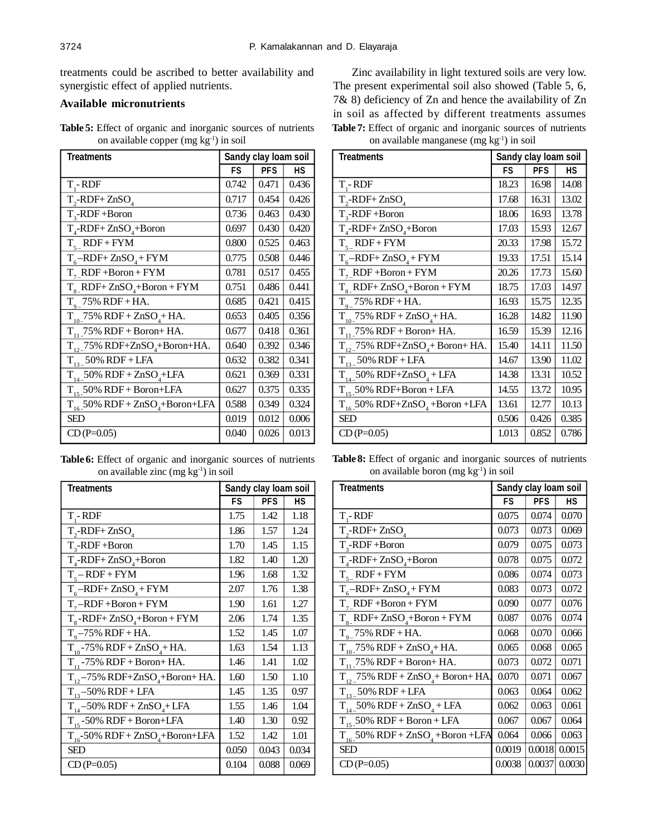treatments could be ascribed to better availability and synergistic effect of applied nutrients.

## **Available micronutrients**

**Table 5:** Effect of organic and inorganic sources of nutrients on available copper  $(mg kg<sup>-1</sup>)$  in soil

| <b>Treatments</b>                               | Sandy clay loam soil |            |       |
|-------------------------------------------------|----------------------|------------|-------|
|                                                 | FS                   | <b>PFS</b> | НS    |
| $T - RDF$                                       | 0.742                | 0.471      | 0.436 |
| $T_{2}$ -RDF+ZnSO <sub>4</sub>                  | 0.717                | 0.454      | 0.426 |
| $T_{3}$ -RDF+Boron                              | 0.736                | 0.463      | 0.430 |
| $T_{4}$ -RDF+ ZnSO <sub>4</sub> +Boron          | 0.697                | 0.430      | 0.420 |
| $T_{5}$ RDF + FYM                               | 0.800                | 0.525      | 0.463 |
| $T_{6}$ -RDF+ ZnSO <sub>4</sub> + FYM           | 0.775                | 0.508      | 0.446 |
| $T7 RDF + Boron + FYM$                          | 0.781                | 0.517      | 0.455 |
| $T_{\rm g}$ RDF+ ZnSO <sub>4</sub> +Boron + FYM | 0.751                | 0.486      | 0.441 |
| $T_{q}$ 75% RDF + HA.                           | 0.685                | 0.421      | 0.415 |
| $T_{10}$ 75% RDF + ZnSO <sub>4</sub> +HA.       | 0.653                | 0.405      | 0.356 |
| $T_{11}$ 75% RDF + Boron+ HA.                   | 0.677                | 0.418      | 0.361 |
| $T_{12}$ 75% RDF+ZnSO <sub>4</sub> +Boron+HA.   | 0.640                | 0.392      | 0.346 |
| $T_{13}$ 50% RDF + LFA                          | 0.632                | 0.382      | 0.341 |
| $T_{14-}50\%$ RDF + $ZnSO_4+LFA$                | 0.621                | 0.369      | 0.331 |
| $T_{15}$ 50% RDF + Boron+LFA                    | 0.627                | 0.375      | 0.335 |
| $T_{16}$ 50% RDF + ZnSO <sub>4</sub> +Boron+LFA | 0.588                | 0.349      | 0.324 |
| SED                                             | 0.019                | 0.012      | 0.006 |
| $CD(P=0.05)$                                    | 0.040                | 0.026      | 0.013 |

**Table 6:** Effect of organic and inorganic sources of nutrients on available zinc  $(mg kg<sup>-1</sup>)$  in soil

| <b>Treatments</b>                                | Sandy clay loam soil |            |       |
|--------------------------------------------------|----------------------|------------|-------|
|                                                  | FS                   | <b>PFS</b> | НS    |
| $T - RDF$                                        | 1.75                 | 1.42       | 1.18  |
| $T_{2}$ -RDF+ZnSO <sub>4</sub>                   | 1.86                 | 1.57       | 1.24  |
| $T_{3}$ -RDF+Boron                               | 1.70                 | 1.45       | 1.15  |
| $T_{4}$ -RDF+ ZnSO <sub>4</sub> +Boron           | 1.82                 | 1.40       | 1.20  |
| $T_{5} - RDF + FYM$                              | 1.96                 | 1.68       | 1.32  |
| $T_{6}$ -RDF+ ZnSO <sub>4</sub> + FYM            | 2.07                 | 1.76       | 1.38  |
| $T_{7}$ -RDF+Boron+FYM                           | 1.90                 | 1.61       | 1.27  |
| $T_s$ -RDF+ ZnSO <sub>4</sub> +Boron + FYM       | 2.06                 | 1.74       | 1.35  |
| $T_{o} - 75\%$ RDF + HA.                         | 1.52                 | 1.45       | 1.07  |
| $T_{10}$ -75% RDF + ZnSO <sub>4</sub> + HA.      | 1.63                 | 1.54       | 1.13  |
| $T_{11}$ -75% RDF + Boron+ HA.                   | 1.46                 | 1.41       | 1.02  |
| $T_{12}$ -75% RDF+ZnSO <sub>4</sub> +Boron+ HA.  | 1.60                 | 1.50       | 1.10  |
| $T_{13} - 50\%$ RDF + LFA                        | 1.45                 | 1.35       | 0.97  |
| $T_{14} - 50\%$ RDF + $ZnSO_4$ + LFA             | 1.55                 | 1.46       | 1.04  |
| $T_{15}$ -50% RDF + Boron+LFA                    | 1.40                 | 1.30       | 0.92  |
| $T_{16}$ -50% RDF + ZnSO <sub>4</sub> +Boron+LFA | 1.52                 | 1.42       | 1.01  |
| <b>SED</b>                                       | 0.050                | 0.043      | 0.034 |
| $CD(P=0.05)$                                     | 0.104                | 0.088      | 0.069 |

Zinc availability in light textured soils are very low. The present experimental soil also showed (Table 5, 6, 7& 8) deficiency of Zn and hence the availability of Zn in soil as affected by different treatments assumes **Table 7:** Effect of organic and inorganic sources of nutrients on available manganese (mg kg-1) in soil

| <b>Treatments</b>                               | Sandy clay loam soil |            |       |
|-------------------------------------------------|----------------------|------------|-------|
|                                                 | FS                   | <b>PFS</b> | НS    |
| $T - RDF$                                       | 18.23                | 16.98      | 14.08 |
| $T_{2}$ -RDF+ZnSO <sub>4</sub>                  | 17.68                | 16.31      | 13.02 |
| $T_{3}$ -RDF+Boron                              | 18.06                | 16.93      | 13.78 |
| $T_{4}$ -RDF+ZnSO <sub>4</sub> +Boron           | 17.03                | 15.93      | 12.67 |
| $T_{5}$ RDF + FYM                               | 20.33                | 17.98      | 15.72 |
| $T_{6}$ -RDF+ ZnSO <sub>4</sub> + FYM           | 19.33                | 17.51      | 15.14 |
| $T_{7}$ RDF +Boron + FYM                        | 20.26                | 17.73      | 15.60 |
| $T_{\rm g}$ RDF+ ZnSO <sub>4</sub> +Boron + FYM | 18.75                | 17.03      | 14.97 |
| $T_{q}$ 75% RDF + HA.                           | 16.93                | 15.75      | 12.35 |
| $T_{10}$ , 75% RDF + ZnSO <sub>4</sub> + HA.    | 16.28                | 14.82      | 11.90 |
| $T_{11}$ 75% RDF + Boron+ HA.                   | 16.59                | 15.39      | 12.16 |
| $T_{12}$ 75% RDF+ZnSO <sub>4</sub> +Boron+HA.   | 15.40                | 14.11      | 11.50 |
| $T_{13}$ 50% RDF + LFA                          | 14.67                | 13.90      | 11.02 |
| $T_{14-}$ 50% RDF+ZnSO <sub>4</sub> + LFA       | 14.38                | 13.31      | 10.52 |
| $T_{15}$ 50% RDF+Boron + LFA                    | 14.55                | 13.72      | 10.95 |
| $T_{16}$ 50% RDF+ZnSO <sub>4</sub> +Boron +LFA  | 13.61                | 12.77      | 10.13 |
| <b>SED</b>                                      | 0.506                | 0.426      | 0.385 |
| $CD(P=0.05)$                                    | 1.013                | 0.852      | 0.786 |

**Table 8:** Effect of organic and inorganic sources of nutrients on available boron (mg kg-1) in soil

| <b>Treatments</b>                                  | Sandy clay loam soil |            |           |
|----------------------------------------------------|----------------------|------------|-----------|
|                                                    | <b>FS</b>            | <b>PFS</b> | <b>HS</b> |
| $T - RDF$                                          | 0.075                | 0.074      | 0.070     |
| $T_{2}$ -RDF+ZnSO <sub>4</sub>                     | 0.073                | 0.073      | 0.069     |
| $T_{3}$ -RDF+Boron                                 | 0.079                | 0.075      | 0.073     |
| $T_{4}$ -RDF+ ZnSO <sub>4</sub> +Boron             | 0.078                | 0.075      | 0.072     |
| $T_{s}$ RDF+FYM                                    | 0.086                | 0.074      | 0.073     |
| $T_{6}$ -RDF+ ZnSO <sub>4</sub> + FYM              | 0.083                | 0.073      | 0.072     |
| $T7 RDF + Boron + FYM$                             | 0.090                | 0.077      | 0.076     |
| $T_{\rm g}$ RDF+ ZnSO <sub>4</sub> +Boron + FYM    | 0.087                | 0.076      | 0.074     |
| $T_{q}$ 75% RDF + HA.                              | 0.068                | 0.070      | 0.066     |
| $T_{10}$ 75% RDF + ZnSO <sub>4</sub> + HA.         | 0.065                | 0.068      | 0.065     |
| $T_{11}$ , 75% RDF + Boron+ HA.                    | 0.073                | 0.072      | 0.071     |
| $T_{12}$ 75% RDF + ZnSO <sub>4</sub> + Boron+ HA.  | 0.070                | 0.071      | 0.067     |
| $T_{13-}$ 50% RDF + LFA                            | 0.063                | 0.064      | 0.062     |
| $T_{14-}$ 50% RDF + ZnSO <sub>4</sub> + LFA        | 0.062                | 0.063      | 0.061     |
| $T_{15}$ 50% RDF + Boron + LFA                     | 0.067                | 0.067      | 0.064     |
| $T_{16}$ 50% RDF + ZnSO <sub>4</sub> + Boron + LFA | 0.064                | 0.066      | 0.063     |
| <b>SED</b>                                         | 0.0019               | 0.0018     | 0.0015    |
| $CD(P=0.05)$                                       | 0.0038               | 0.0037     | 0.0030    |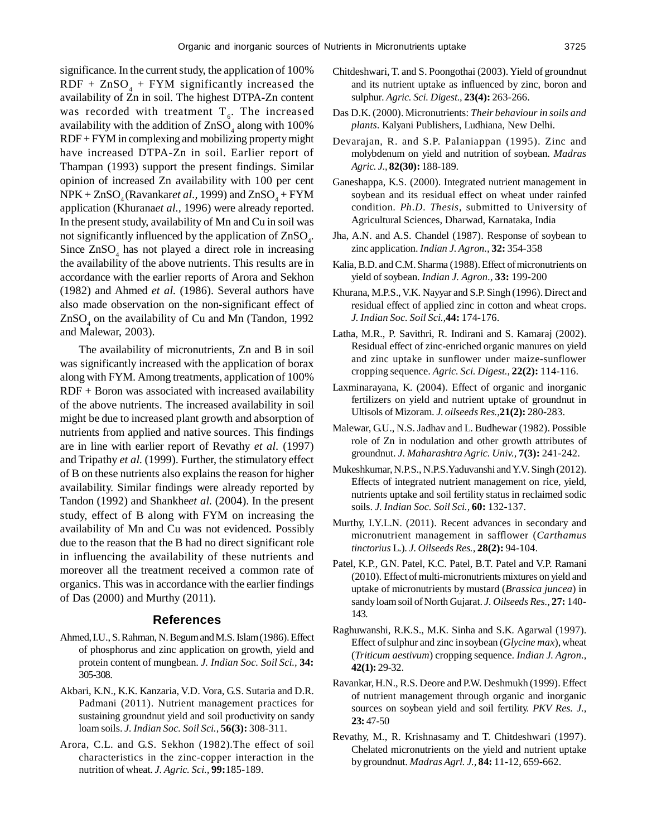significance. In the current study, the application of 100%  $RDF + ZnSO<sub>4</sub> + FYM$  significantly increased the availability of Zn in soil. The highest DTPA-Zn content was recorded with treatment  $T_{\epsilon}$ . The increased availability with the addition of  $\text{ZnSO}_4$  along with 100% RDF + FYM in complexing and mobilizing property might have increased DTPA-Zn in soil. Earlier report of Thampan (1993) support the present findings. Similar opinion of increased Zn availability with 100 per cent  $NPK + ZnSO<sub>4</sub>(Ravankare*t al.*, 1999) and ZnSO<sub>4</sub> + FYM$ application (Khurana*et al.,* 1996) were already reported. In the present study, availability of Mn and Cu in soil was not significantly influenced by the application of  $ZnSO_4$ . Since  $ZnSO_4$  has not played a direct role in increasing the availability of the above nutrients. This results are in accordance with the earlier reports of Arora and Sekhon (1982) and Ahmed *et al.* (1986). Several authors have also made observation on the non-significant effect of  $ZnSO<sub>4</sub>$  on the availability of Cu and Mn (Tandon, 1992) and Malewar, 2003).

The availability of micronutrients, Zn and B in soil was significantly increased with the application of borax along with FYM. Among treatments, application of 100% RDF + Boron was associated with increased availability of the above nutrients. The increased availability in soil might be due to increased plant growth and absorption of nutrients from applied and native sources. This findings are in line with earlier report of Revathy *et al.* (1997) and Tripathy *et al.* (1999). Further, the stimulatory effect of B on these nutrients also explains the reason for higher availability. Similar findings were already reported by Tandon (1992) and Shankhe*et al.* (2004). In the present study, effect of B along with FYM on increasing the availability of Mn and Cu was not evidenced. Possibly due to the reason that the B had no direct significant role in influencing the availability of these nutrients and moreover all the treatment received a common rate of organics. This was in accordance with the earlier findings of Das (2000) and Murthy (2011).

#### **References**

- Ahmed, I.U., S. Rahman, N. Begum and M.S. Islam (1986). Effect of phosphorus and zinc application on growth, yield and protein content of mungbean. *J. Indian Soc. Soil Sci.,* **34:** 305-308.
- Akbari, K.N., K.K. Kanzaria, V.D. Vora, G.S. Sutaria and D.R. Padmani (2011). Nutrient management practices for sustaining groundnut yield and soil productivity on sandy loam soils. *J. Indian Soc. Soil Sci.,* **56(3):** 308-311.
- Arora, C.L. and G.S. Sekhon (1982).The effect of soil characteristics in the zinc-copper interaction in the nutrition of wheat. *J. Agric. Sci.,* **99:**185-189.
- Chitdeshwari, T. and S. Poongothai (2003). Yield of groundnut and its nutrient uptake as influenced by zinc, boron and sulphur. *Agric. Sci. Digest.,* **23(4):** 263-266.
- Das D.K. (2000). Micronutrients: *Their behaviour in soils and plants*. Kalyani Publishers, Ludhiana, New Delhi.
- Devarajan, R. and S.P. Palaniappan (1995). Zinc and molybdenum on yield and nutrition of soybean. *Madras Agric. J.,* **82(30):** 188-189.
- Ganeshappa, K.S. (2000). Integrated nutrient management in soybean and its residual effect on wheat under rainfed condition. *Ph.D. Thesis,* submitted to University of Agricultural Sciences, Dharwad, Karnataka, India
- Jha, A.N. and A.S. Chandel (1987). Response of soybean to zinc application. *Indian J. Agron.,* **32:** 354-358
- Kalia, B.D. and C.M. Sharma (1988). Effect of micronutrients on yield of soybean. *Indian J. Agron.,* **33:** 199-200
- Khurana, M.P.S., V.K. Nayyar and S.P. Singh (1996). Direct and residual effect of applied zinc in cotton and wheat crops. *J. Indian Soc. Soil Sci.,***44:** 174-176.
- Latha, M.R., P. Savithri, R. Indirani and S. Kamaraj (2002). Residual effect of zinc-enriched organic manures on yield and zinc uptake in sunflower under maize-sunflower cropping sequence. *Agric. Sci. Digest.,* **22(2):** 114-116.
- Laxminarayana, K. (2004). Effect of organic and inorganic fertilizers on yield and nutrient uptake of groundnut in Ultisols of Mizoram. *J. oilseeds Res.,***21(2):** 280-283.
- Malewar, G.U., N.S. Jadhav and L. Budhewar (1982). Possible role of Zn in nodulation and other growth attributes of groundnut. *J. Maharashtra Agric. Univ.,* **7(3):** 241-242.
- Mukeshkumar, N.P.S., N.P.S.Yaduvanshi and Y.V. Singh (2012). Effects of integrated nutrient management on rice, yield, nutrients uptake and soil fertility status in reclaimed sodic soils. *J. Indian Soc. Soil Sci.,* **60:** 132-137.
- Murthy, I.Y.L.N. (2011). Recent advances in secondary and micronutrient management in safflower (*Carthamus tinctorius* L.). *J. Oilseeds Res.,* **28(2):** 94-104.
- Patel, K.P., G.N. Patel, K.C. Patel, B.T. Patel and V.P. Ramani (2010). Effect of multi-micronutrients mixtures on yield and uptake of micronutrients by mustard (*Brassica juncea*) in sandy loam soil of North Gujarat. *J. Oilseeds Res.,* **27:** 140- 143.
- Raghuwanshi, R.K.S., M.K. Sinha and S.K. Agarwal (1997). Effect of sulphur and zinc in soybean (*Glycine max*), wheat (*Triticum aestivum*) cropping sequence. *Indian J. Agron.,* **42(1):** 29-32.
- Ravankar, H.N., R.S. Deore and P.W. Deshmukh (1999). Effect of nutrient management through organic and inorganic sources on soybean yield and soil fertility. *PKV Res. J.,* **23:** 47-50
- Revathy, M., R. Krishnasamy and T. Chitdeshwari (1997). Chelated micronutrients on the yield and nutrient uptake by groundnut. *Madras Agrl. J.,* **84:** 11-12, 659-662.